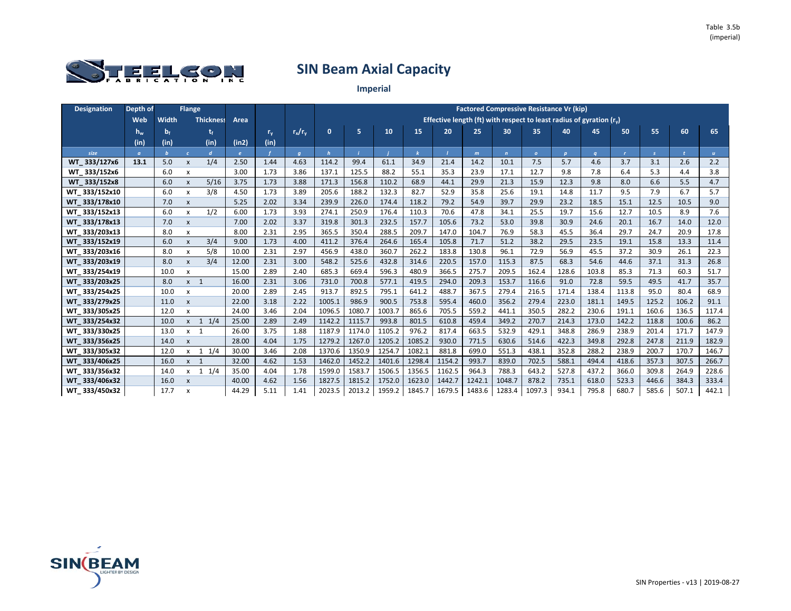

| <b>Designation</b> | Depth of |       | <b>Flange</b>             |                  |              |         |                |              |        |        |        |        |        |              | <b>Factored Compressive Resistance Vr (kip)</b>                       |              |          |              |       |       |              |
|--------------------|----------|-------|---------------------------|------------------|--------------|---------|----------------|--------------|--------|--------|--------|--------|--------|--------------|-----------------------------------------------------------------------|--------------|----------|--------------|-------|-------|--------------|
|                    | Web      | Width |                           | <b>Thickness</b> | Area         |         |                |              |        |        |        |        |        |              | Effective length (ft) with respect to least radius of gyration $(rv)$ |              |          |              |       |       |              |
|                    | $h_{w}$  | $b_f$ |                           |                  |              | $r_{v}$ | $r_x/r_v$      | $\mathbf{0}$ | 5      | 10     | 15     | 20     | 25     | 30           | 35                                                                    | 40           | 45       | 50           | 55    | 60    | 65           |
|                    | (in)     | (in)  |                           | (in)             | (in2)        | (in)    |                |              |        |        |        |        |        |              |                                                                       |              |          |              |       |       |              |
| size               | $\sigma$ |       | $\epsilon$                | $\mathbf{d}$     | $\mathbf{e}$ |         | $\overline{q}$ | h            |        |        |        |        | m      | $\mathbf{n}$ | $\overline{O}$                                                        | $\mathbf{p}$ | $\alpha$ | $\mathbf{r}$ | s.    |       | $\mathbf{u}$ |
| WT_333/127x6       | 13.1     | 5.0   | X                         | 1/4              | 2.50         | 1.44    | 4.63           | 114.2        | 99.4   | 61.1   | 34.9   | 21.4   | 14.2   | 10.1         | 7.5                                                                   | 5.7          | 4.6      | 3.7          | 3.1   | 2.6   | 2.2          |
| WT_333/152x6       |          | 6.0   | X                         |                  | 3.00         | 1.73    | 3.86           | 137.1        | 125.5  | 88.2   | 55.1   | 35.3   | 23.9   | 17.1         | 12.7                                                                  | 9.8          | 7.8      | 6.4          | 5.3   | 4.4   | 3.8          |
| WT 333/152x8       |          | 6.0   | X                         | 5/16             | 3.75         | 1.73    | 3.88           | 171.3        | 156.8  | 110.2  | 68.9   | 44.1   | 29.9   | 21.3         | 15.9                                                                  | 12.3         | 9.8      | 8.0          | 6.6   | 5.5   | 4.7          |
| WT 333/152x10      |          | 6.0   | X                         | 3/8              | 4.50         | 1.73    | 3.89           | 205.6        | 188.2  | 132.3  | 82.7   | 52.9   | 35.8   | 25.6         | 19.1                                                                  | 14.8         | 11.7     | 9.5          | 7.9   | 6.7   | 5.7          |
| WT 333/178x10      |          | 7.0   | $\pmb{\mathsf{x}}$        |                  | 5.25         | 2.02    | 3.34           | 239.9        | 226.0  | 174.4  | 118.2  | 79.2   | 54.9   | 39.7         | 29.9                                                                  | 23.2         | 18.5     | 15.1         | 12.5  | 10.5  | 9.0          |
| WT 333/152x13      |          | 6.0   | x                         | 1/2              | 6.00         | 1.73    | 3.93           | 274.1        | 250.9  | 176.4  | 110.3  | 70.6   | 47.8   | 34.1         | 25.5                                                                  | 19.7         | 15.6     | 12.7         | 10.5  | 8.9   | 7.6          |
| WT 333/178x13      |          | 7.0   | $\pmb{\mathsf{x}}$        |                  | 7.00         | 2.02    | 3.37           | 319.8        | 301.3  | 232.5  | 157.7  | 105.6  | 73.2   | 53.0         | 39.8                                                                  | 30.9         | 24.6     | 20.1         | 16.7  | 14.0  | 12.0         |
| WT 333/203x13      |          | 8.0   | X                         |                  | 8.00         | 2.31    | 2.95           | 365.5        | 350.4  | 288.5  | 209.7  | 147.0  | 104.7  | 76.9         | 58.3                                                                  | 45.5         | 36.4     | 29.7         | 24.7  | 20.9  | 17.8         |
| WT 333/152x19      |          | 6.0   | X                         | 3/4              | 9.00         | 1.73    | 4.00           | 411.2        | 376.4  | 264.6  | 165.4  | 105.8  | 71.7   | 51.2         | 38.2                                                                  | 29.5         | 23.5     | 19.1         | 15.8  | 13.3  | 11.4         |
| WT 333/203x16      |          | 8.0   | x                         | 5/8              | 10.00        | 2.31    | 2.97           | 456.9        | 438.0  | 360.7  | 262.2  | 183.8  | 130.8  | 96.1         | 72.9                                                                  | 56.9         | 45.5     | 37.2         | 30.9  | 26.1  | 22.3         |
| WT 333/203x19      |          | 8.0   | X                         | 3/4              | 12.00        | 2.31    | 3.00           | 548.2        | 525.6  | 432.8  | 314.6  | 220.5  | 157.0  | 115.3        | 87.5                                                                  | 68.3         | 54.6     | 44.6         | 37.1  | 31.3  | 26.8         |
| WT 333/254x19      |          | 10.0  | x                         |                  | 15.00        | 2.89    | 2.40           | 685.3        | 669.4  | 596.3  | 480.9  | 366.5  | 275.7  | 209.5        | 162.4                                                                 | 128.6        | 103.8    | 85.3         | 71.3  | 60.3  | 51.7         |
| WT 333/203x25      |          | 8.0   | $x \quad 1$               |                  | 16.00        | 2.31    | 3.06           | 731.0        | 700.8  | 577.1  | 419.5  | 294.0  | 209.3  | 153.7        | 116.6                                                                 | 91.0         | 72.8     | 59.5         | 49.5  | 41.7  | 35.7         |
| WT 333/254x25      |          | 10.0  | X                         |                  | 20.00        | 2.89    | 2.45           | 913.7        | 892.5  | 795.1  | 641.2  | 488.7  | 367.5  | 279.4        | 216.5                                                                 | 171.4        | 138.4    | 113.8        | 95.0  | 80.4  | 68.9         |
| WT 333/279x25      |          | 11.0  | X                         |                  | 22.00        | 3.18    | 2.22           | 1005.1       | 986.9  | 900.5  | 753.8  | 595.4  | 460.0  | 356.2        | 279.4                                                                 | 223.0        | 181.1    | 149.5        | 125.2 | 106.2 | 91.1         |
| WT_333/305x25      |          | 12.0  | x                         |                  | 24.00        | 3.46    | 2.04           | 1096.5       | 1080.7 | 1003.7 | 865.6  | 705.5  | 559.2  | 441.1        | 350.5                                                                 | 282.2        | 230.6    | 191.1        | 160.6 | 136.5 | 117.4        |
| WT 333/254x32      |          | 10.0  | $x \quad 1$               | 1/4              | 25.00        | 2.89    | 2.49           | 1142.2       | 1115.7 | 993.8  | 801.5  | 610.8  | 459.4  | 349.2        | 270.7                                                                 | 214.3        | 173.0    | 142.2        | 118.8 | 100.6 | 86.2         |
| WT 333/330x25      |          | 13.0  | $x \quad 1$               |                  | 26.00        | 3.75    | 1.88           | 1187.9       | 1174.0 | 1105.2 | 976.2  | 817.4  | 663.5  | 532.9        | 429.1                                                                 | 348.8        | 286.9    | 238.9        | 201.4 | 171.7 | 147.9        |
| WT 333/356x25      |          | 14.0  | X                         |                  | 28.00        | 4.04    | 1.75           | 1279.2       | 1267.0 | 1205.2 | 1085.2 | 930.0  | 771.5  | 630.6        | 514.6                                                                 | 422.3        | 349.8    | 292.8        | 247.8 | 211.9 | 182.9        |
| WT 333/305x32      |          | 12.0  | $\mathsf{x}$              | $1 \t1/4$        | 30.00        | 3.46    | 2.08           | 1370.6       | 1350.9 | 1254.7 | 1082.1 | 881.8  | 699.0  | 551.3        | 438.1                                                                 | 352.8        | 288.2    | 238.9        | 200.7 | 170.7 | 146.7        |
| WT 333/406x25      |          | 16.0  | $x \neq 1$                |                  | 32.00        | 4.62    | 1.53           | 1462.0       | 1452.2 | 1401.6 | 1298.4 | 1154.2 | 993.7  | 839.0        | 702.5                                                                 | 588.1        | 494.4    | 418.6        | 357.3 | 307.5 | 266.7        |
| WT 333/356x32      |          | 14.0  | $\mathsf{x}$              | 1/4<br>1         | 35.00        | 4.04    | 1.78           | 1599.0       | 1583.7 | 1506.5 | 1356.5 | 1162.5 | 964.3  | 788.3        | 643.2                                                                 | 527.8        | 437.2    | 366.0        | 309.8 | 264.9 | 228.6        |
| WT 333/406x32      |          | 16.0  | $\mathsf{x}$              |                  | 40.00        | 4.62    | 1.56           | 1827.5       | 1815.2 | 1752.0 | 1623.0 | 1442.7 | 1242.1 | 1048.7       | 878.2                                                                 | 735.1        | 618.0    | 523.3        | 446.6 | 384.3 | 333.4        |
| WT 333/450x32      |          | 17.7  | $\boldsymbol{\mathsf{x}}$ |                  | 44.29        | 5.11    | 1.41           | 2023.5       | 2013.2 | 1959.2 | 1845.7 | 1679.5 | 1483.6 | 1283.4       | 1097.3                                                                | 934.1        | 795.8    | 680.7        | 585.6 | 507.1 | 442.1        |

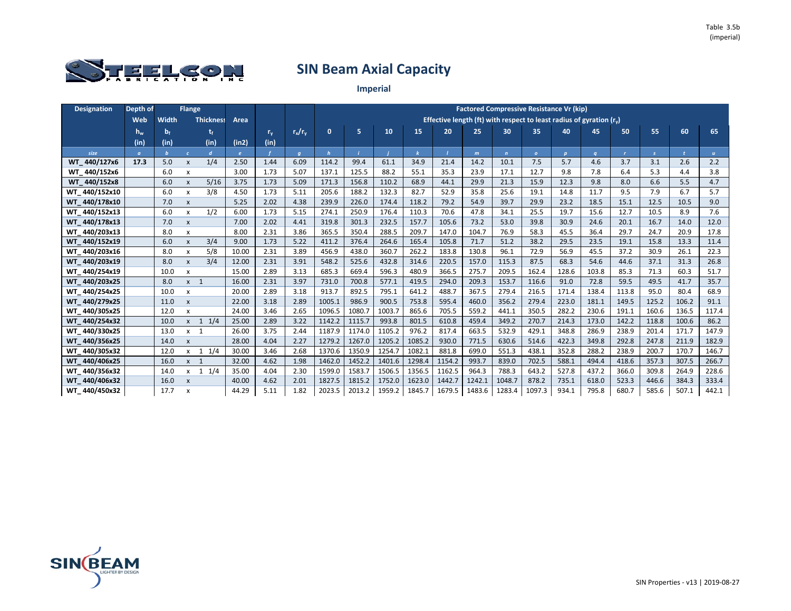

| <b>Designation</b> | Depth of |       | <b>Flange</b>             |                  |              |         |                |              |        |        |        |        |        |              | <b>Factored Compressive Resistance Vr (kip)</b>                       |              |          |              |       |       |              |
|--------------------|----------|-------|---------------------------|------------------|--------------|---------|----------------|--------------|--------|--------|--------|--------|--------|--------------|-----------------------------------------------------------------------|--------------|----------|--------------|-------|-------|--------------|
|                    | Web      | Width |                           | <b>Thickness</b> | Area         |         |                |              |        |        |        |        |        |              | Effective length (ft) with respect to least radius of gyration $(rv)$ |              |          |              |       |       |              |
|                    | $h_{w}$  | $b_f$ |                           |                  |              | $r_{v}$ | $r_x/r_v$      | $\mathbf{0}$ | 5      | 10     | 15     | 20     | 25     | 30           | 35                                                                    | 40           | 45       | 50           | 55    | 60    | 65           |
|                    | (in)     | (in)  |                           | (in)             | (in2)        | (in)    |                |              |        |        |        |        |        |              |                                                                       |              |          |              |       |       |              |
| size               | $\sigma$ |       | $\epsilon$                | $\mathbf{d}$     | $\mathbf{e}$ |         | $\overline{q}$ | h            |        |        |        |        | m      | $\mathbf{n}$ | $\overline{O}$                                                        | $\mathbf{p}$ | $\alpha$ | $\mathbf{r}$ | s.    |       | $\mathbf{u}$ |
| WT 440/127x6       | 17.3     | 5.0   | X                         | 1/4              | 2.50         | 1.44    | 6.09           | 114.2        | 99.4   | 61.1   | 34.9   | 21.4   | 14.2   | 10.1         | 7.5                                                                   | 5.7          | 4.6      | 3.7          | 3.1   | 2.6   | 2.2          |
| WT 440/152x6       |          | 6.0   | X                         |                  | 3.00         | 1.73    | 5.07           | 137.1        | 125.5  | 88.2   | 55.1   | 35.3   | 23.9   | 17.1         | 12.7                                                                  | 9.8          | 7.8      | 6.4          | 5.3   | 4.4   | 3.8          |
| WT 440/152x8       |          | 6.0   | X                         | 5/16             | 3.75         | 1.73    | 5.09           | 171.3        | 156.8  | 110.2  | 68.9   | 44.1   | 29.9   | 21.3         | 15.9                                                                  | 12.3         | 9.8      | 8.0          | 6.6   | 5.5   | 4.7          |
| WT 440/152x10      |          | 6.0   | X                         | 3/8              | 4.50         | 1.73    | 5.11           | 205.6        | 188.2  | 132.3  | 82.7   | 52.9   | 35.8   | 25.6         | 19.1                                                                  | 14.8         | 11.7     | 9.5          | 7.9   | 6.7   | 5.7          |
| WT 440/178x10      |          | 7.0   | $\pmb{\mathsf{x}}$        |                  | 5.25         | 2.02    | 4.38           | 239.9        | 226.0  | 174.4  | 118.2  | 79.2   | 54.9   | 39.7         | 29.9                                                                  | 23.2         | 18.5     | 15.1         | 12.5  | 10.5  | 9.0          |
| WT 440/152x13      |          | 6.0   | x                         | 1/2              | 6.00         | 1.73    | 5.15           | 274.1        | 250.9  | 176.4  | 110.3  | 70.6   | 47.8   | 34.1         | 25.5                                                                  | 19.7         | 15.6     | 12.7         | 10.5  | 8.9   | 7.6          |
| WT 440/178x13      |          | 7.0   | $\pmb{\mathsf{x}}$        |                  | 7.00         | 2.02    | 4.41           | 319.8        | 301.3  | 232.5  | 157.7  | 105.6  | 73.2   | 53.0         | 39.8                                                                  | 30.9         | 24.6     | 20.1         | 16.7  | 14.0  | 12.0         |
| WT 440/203x13      |          | 8.0   | X                         |                  | 8.00         | 2.31    | 3.86           | 365.5        | 350.4  | 288.5  | 209.7  | 147.0  | 104.7  | 76.9         | 58.3                                                                  | 45.5         | 36.4     | 29.7         | 24.7  | 20.9  | 17.8         |
| WT 440/152x19      |          | 6.0   | X                         | 3/4              | 9.00         | 1.73    | 5.22           | 411.2        | 376.4  | 264.6  | 165.4  | 105.8  | 71.7   | 51.2         | 38.2                                                                  | 29.5         | 23.5     | 19.1         | 15.8  | 13.3  | 11.4         |
| WT 440/203x16      |          | 8.0   | x                         | 5/8              | 10.00        | 2.31    | 3.89           | 456.9        | 438.0  | 360.7  | 262.2  | 183.8  | 130.8  | 96.1         | 72.9                                                                  | 56.9         | 45.5     | 37.2         | 30.9  | 26.1  | 22.3         |
| WT 440/203x19      |          | 8.0   | X                         | 3/4              | 12.00        | 2.31    | 3.91           | 548.2        | 525.6  | 432.8  | 314.6  | 220.5  | 157.0  | 115.3        | 87.5                                                                  | 68.3         | 54.6     | 44.6         | 37.1  | 31.3  | 26.8         |
| WT 440/254x19      |          | 10.0  | x                         |                  | 15.00        | 2.89    | 3.13           | 685.3        | 669.4  | 596.3  | 480.9  | 366.5  | 275.7  | 209.5        | 162.4                                                                 | 128.6        | 103.8    | 85.3         | 71.3  | 60.3  | 51.7         |
| WT 440/203x25      |          | 8.0   | $x \quad 1$               |                  | 16.00        | 2.31    | 3.97           | 731.0        | 700.8  | 577.1  | 419.5  | 294.0  | 209.3  | 153.7        | 116.6                                                                 | 91.0         | 72.8     | 59.5         | 49.5  | 41.7  | 35.7         |
| WT 440/254x25      |          | 10.0  | X                         |                  | 20.00        | 2.89    | 3.18           | 913.7        | 892.5  | 795.1  | 641.2  | 488.7  | 367.5  | 279.4        | 216.5                                                                 | 171.4        | 138.4    | 113.8        | 95.0  | 80.4  | 68.9         |
| WT 440/279x25      |          | 11.0  | X                         |                  | 22.00        | 3.18    | 2.89           | 1005.1       | 986.9  | 900.5  | 753.8  | 595.4  | 460.0  | 356.2        | 279.4                                                                 | 223.0        | 181.1    | 149.5        | 125.2 | 106.2 | 91.1         |
| WT 440/305x25      |          | 12.0  | x                         |                  | 24.00        | 3.46    | 2.65           | 1096.5       | 1080.7 | 1003.7 | 865.6  | 705.5  | 559.2  | 441.1        | 350.5                                                                 | 282.2        | 230.6    | 191.1        | 160.6 | 136.5 | 117.4        |
| WT 440/254x32      |          | 10.0  | $x \quad 1$               | 1/4              | 25.00        | 2.89    | 3.22           | 1142.2       | 1115.7 | 993.8  | 801.5  | 610.8  | 459.4  | 349.2        | 270.7                                                                 | 214.3        | 173.0    | 142.2        | 118.8 | 100.6 | 86.2         |
| WT 440/330x25      |          | 13.0  | $x \quad 1$               |                  | 26.00        | 3.75    | 2.44           | 1187.9       | 1174.0 | 1105.2 | 976.2  | 817.4  | 663.5  | 532.9        | 429.1                                                                 | 348.8        | 286.9    | 238.9        | 201.4 | 171.7 | 147.9        |
| WT 440/356x25      |          | 14.0  | X                         |                  | 28.00        | 4.04    | 2.27           | 1279.2       | 1267.0 | 1205.2 | 1085.2 | 930.0  | 771.5  | 630.6        | 514.6                                                                 | 422.3        | 349.8    | 292.8        | 247.8 | 211.9 | 182.9        |
| WT_440/305x32      |          | 12.0  | $\mathsf{x}$              | $1 \t1/4$        | 30.00        | 3.46    | 2.68           | 1370.6       | 1350.9 | 1254.7 | 1082.1 | 881.8  | 699.0  | 551.3        | 438.1                                                                 | 352.8        | 288.2    | 238.9        | 200.7 | 170.7 | 146.7        |
| WT 440/406x25      |          | 16.0  | $x \quad 1$               |                  | 32.00        | 4.62    | 1.98           | 1462.0       | 1452.2 | 1401.6 | 1298.4 | 1154.2 | 993.7  | 839.0        | 702.5                                                                 | 588.1        | 494.4    | 418.6        | 357.3 | 307.5 | 266.7        |
| WT 440/356x32      |          | 14.0  | $\mathsf{x}$              | 1/4<br>1         | 35.00        | 4.04    | 2.30           | 1599.0       | 1583.7 | 1506.5 | 1356.5 | 1162.5 | 964.3  | 788.3        | 643.2                                                                 | 527.8        | 437.2    | 366.0        | 309.8 | 264.9 | 228.6        |
| WT 440/406x32      |          | 16.0  | $\mathsf{x}$              |                  | 40.00        | 4.62    | 2.01           | 1827.5       | 1815.2 | 1752.0 | 1623.0 | 1442.7 | 1242.1 | 1048.7       | 878.2                                                                 | 735.1        | 618.0    | 523.3        | 446.6 | 384.3 | 333.4        |
| WT 440/450x32      |          | 17.7  | $\boldsymbol{\mathsf{x}}$ |                  | 44.29        | 5.11    | 1.82           | 2023.5       | 2013.2 | 1959.2 | 1845.7 | 1679.5 | 1483.6 | 1283.4       | 1097.3                                                                | 934.1        | 795.8    | 680.7        | 585.6 | 507.1 | 442.1        |

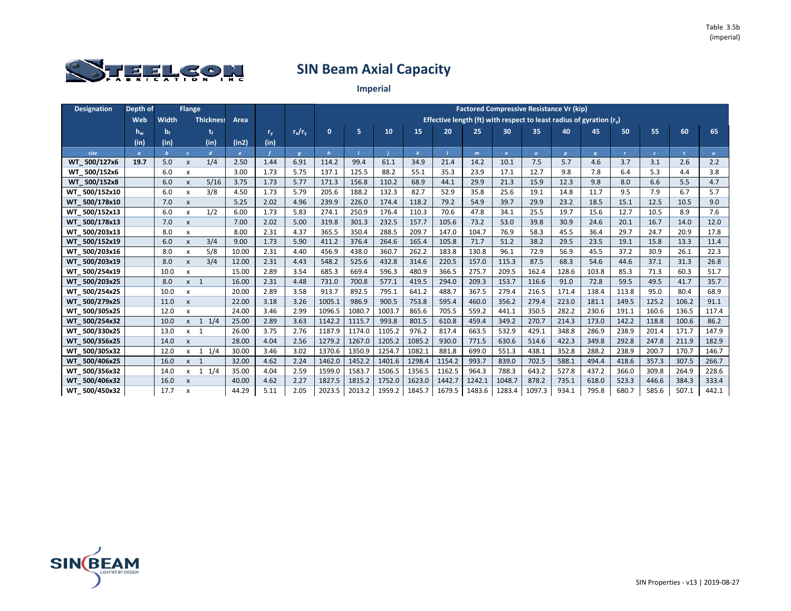

| <b>Designation</b>      | Depth of          |       | <b>Flange</b>             |                  |              |         |                |              |        |        |        |        |              |              | <b>Factored Compressive Resistance Vr (kip)</b>                            |              |       |              |               |       |              |
|-------------------------|-------------------|-------|---------------------------|------------------|--------------|---------|----------------|--------------|--------|--------|--------|--------|--------------|--------------|----------------------------------------------------------------------------|--------------|-------|--------------|---------------|-------|--------------|
|                         | Web               | Width |                           | <b>Thickness</b> | Area         |         |                |              |        |        |        |        |              |              | Effective length (ft) with respect to least radius of gyration $(r_{\nu})$ |              |       |              |               |       |              |
|                         | $\P$ $\mathbf{w}$ | $b_f$ |                           |                  |              | $r_{v}$ | $r_x/r_v$      | $\mathbf{0}$ | 5      | 10     | 15     | 20     | 25           | 30           | 35                                                                         | 40           | 45    | 50           | 55            | 60    | 65           |
|                         | (in)              | (in)  |                           | (in)             | (in2)        | (in)    |                |              |        |        |        |        |              |              |                                                                            |              |       |              |               |       |              |
| size                    | $\sigma$          |       | $\epsilon$                | $\mathbf{d}$     | $\mathbf{e}$ |         | $\overline{q}$ | $\mathbf h$  |        |        |        |        | $\mathbf{m}$ | $\mathbf{r}$ | $\mathbf{o}$                                                               | $\mathbf{p}$ |       | $\mathbf{r}$ | $\mathcal{S}$ |       | $\mathbf{u}$ |
| WT 500/127x6            | 19.7              | 5.0   | X                         | 1/4              | 2.50         | 1.44    | 6.91           | 114.2        | 99.4   | 61.1   | 34.9   | 21.4   | 14.2         | 10.1         | 7.5                                                                        | 5.7          | 4.6   | 3.7          | 3.1           | 2.6   | 2.2          |
| WT 500/152x6            |                   | 6.0   | X                         |                  | 3.00         | 1.73    | 5.75           | 137.1        | 125.5  | 88.2   | 55.1   | 35.3   | 23.9         | 17.1         | 12.7                                                                       | 9.8          | 7.8   | 6.4          | 5.3           | 4.4   | 3.8          |
| WT 500/152x8            |                   | 6.0   | X                         | 5/16             | 3.75         | 1.73    | 5.77           | 171.3        | 156.8  | 110.2  | 68.9   | 44.1   | 29.9         | 21.3         | 15.9                                                                       | 12.3         | 9.8   | 8.0          | 6.6           | 5.5   | 4.7          |
| WT 500/152x10           |                   | 6.0   | X                         | 3/8              | 4.50         | 1.73    | 5.79           | 205.6        | 188.2  | 132.3  | 82.7   | 52.9   | 35.8         | 25.6         | 19.1                                                                       | 14.8         | 11.7  | 9.5          | 7.9           | 6.7   | 5.7          |
| WT 500/178x10           |                   | 7.0   | X                         |                  | 5.25         | 2.02    | 4.96           | 239.9        | 226.0  | 174.4  | 118.2  | 79.2   | 54.9         | 39.7         | 29.9                                                                       | 23.2         | 18.5  | 15.1         | 12.5          | 10.5  | 9.0          |
| WT 500/152x13           |                   | 6.0   | X                         | 1/2              | 6.00         | 1.73    | 5.83           | 274.1        | 250.9  | 176.4  | 110.3  | 70.6   | 47.8         | 34.1         | 25.5                                                                       | 19.7         | 15.6  | 12.7         | 10.5          | 8.9   | 7.6          |
| WT 500/178x13           |                   | 7.0   | X                         |                  | 7.00         | 2.02    | 5.00           | 319.8        | 301.3  | 232.5  | 157.7  | 105.6  | 73.2         | 53.0         | 39.8                                                                       | 30.9         | 24.6  | 20.1         | 16.7          | 14.0  | 12.0         |
| WT 500/203x13           |                   | 8.0   | x                         |                  | 8.00         | 2.31    | 4.37           | 365.5        | 350.4  | 288.5  | 209.7  | 147.0  | 104.7        | 76.9         | 58.3                                                                       | 45.5         | 36.4  | 29.7         | 24.7          | 20.9  | 17.8         |
| WT 500/152x19           |                   | 6.0   | X                         | 3/4              | 9.00         | 1.73    | 5.90           | 411.2        | 376.4  | 264.6  | 165.4  | 105.8  | 71.7         | 51.2         | 38.2                                                                       | 29.5         | 23.5  | 19.1         | 15.8          | 13.3  | 11.4         |
| WT 500/203x16           |                   | 8.0   | x                         | 5/8              | 10.00        | 2.31    | 4.40           | 456.9        | 438.0  | 360.7  | 262.2  | 183.8  | 130.8        | 96.1         | 72.9                                                                       | 56.9         | 45.5  | 37.2         | 30.9          | 26.1  | 22.3         |
| WT 500/203x19           |                   | 8.0   | X                         | 3/4              | 12.00        | 2.31    | 4.43           | 548.2        | 525.6  | 432.8  | 314.6  | 220.5  | 157.0        | 115.3        | 87.5                                                                       | 68.3         | 54.6  | 44.6         | 37.1          | 31.3  | 26.8         |
| WT 500/254x19           |                   | 10.0  | x                         |                  | 15.00        | 2.89    | 3.54           | 685.3        | 669.4  | 596.3  | 480.9  | 366.5  | 275.7        | 209.5        | 162.4                                                                      | 128.6        | 103.8 | 85.3         | 71.3          | 60.3  | 51.7         |
| WT 500/203x25           |                   | 8.0   | $x \quad 1$               |                  | 16.00        | 2.31    | 4.48           | 731.0        | 700.8  | 577.1  | 419.5  | 294.0  | 209.3        | 153.7        | 116.6                                                                      | 91.0         | 72.8  | 59.5         | 49.5          | 41.7  | 35.7         |
| WT 500/254x25           |                   | 10.0  | x                         |                  | 20.00        | 2.89    | 3.58           | 913.7        | 892.5  | 795.1  | 641.2  | 488.7  | 367.5        | 279.4        | 216.5                                                                      | 171.4        | 138.4 | 113.8        | 95.0          | 80.4  | 68.9         |
| WT 500/279x25           |                   | 11.0  | X                         |                  | 22.00        | 3.18    | 3.26           | 1005.1       | 986.9  | 900.5  | 753.8  | 595.4  | 460.0        | 356.2        | 279.4                                                                      | 223.0        | 181.1 | 149.5        | 125.2         | 106.2 | 91.1         |
| WT 500/305x25           |                   | 12.0  | X                         |                  | 24.00        | 3.46    | 2.99           | 1096.5       | 1080.7 | 1003.7 | 865.6  | 705.5  | 559.2        | 441.1        | 350.5                                                                      | 282.2        | 230.6 | 191.1        | 160.6         | 136.5 | 117.4        |
| WT 500/254x32           |                   | 10.0  | $\mathsf{x}$              | 1/4<br>1         | 25.00        | 2.89    | 3.63           | 1142.2       | 1115.7 | 993.8  | 801.5  | 610.8  | 459.4        | 349.2        | 270.7                                                                      | 214.3        | 173.0 | 142.2        | 118.8         | 100.6 | 86.2         |
| WT 500/330x25           |                   | 13.0  | $x \quad 1$               |                  | 26.00        | 3.75    | 2.76           | 1187.9       | 1174.0 | 1105.2 | 976.2  | 817.4  | 663.5        | 532.9        | 429.1                                                                      | 348.8        | 286.9 | 238.9        | 201.4         | 171.7 | 147.9        |
| 500/356x25<br><b>WT</b> |                   | 14.0  | X                         |                  | 28.00        | 4.04    | 2.56           | 1279.2       | 1267.0 | 1205.2 | 1085.2 | 930.0  | 771.5        | 630.6        | 514.6                                                                      | 422.3        | 349.8 | 292.8        | 247.8         | 211.9 | 182.9        |
| WT 500/305x32           |                   | 12.0  | $\mathsf{x}$              | $1 \t1/4$        | 30.00        | 3.46    | 3.02           | 1370.6       | 1350.9 | 1254.7 | 1082.1 | 881.8  | 699.0        | 551.3        | 438.1                                                                      | 352.8        | 288.2 | 238.9        | 200.7         | 170.7 | 146.7        |
| WT 500/406x25           |                   | 16.0  | $x \neq 1$                |                  | 32.00        | 4.62    | 2.24           | 1462.0       | 1452.2 | 1401.6 | 1298.4 | 1154.2 | 993.7        | 839.0        | 702.5                                                                      | 588.1        | 494.4 | 418.6        | 357.3         | 307.5 | 266.7        |
| WT 500/356x32           |                   | 14.0  | $\mathsf{x}$              | 1/4<br>1         | 35.00        | 4.04    | 2.59           | 1599.0       | 1583.7 | 1506.5 | 1356.5 | 1162.5 | 964.3        | 788.3        | 643.2                                                                      | 527.8        | 437.2 | 366.0        | 309.8         | 264.9 | 228.6        |
| WT 500/406x32           |                   | 16.0  | $\pmb{\mathsf{x}}$        |                  | 40.00        | 4.62    | 2.27           | 1827.5       | 1815.2 | 1752.0 | 1623.0 | 1442.7 | 1242.1       | 1048.7       | 878.2                                                                      | 735.1        | 618.0 | 523.3        | 446.6         | 384.3 | 333.4        |
| WT 500/450x32           |                   | 17.7  | $\boldsymbol{\mathsf{x}}$ |                  | 44.29        | 5.11    | 2.05           | 2023.5       | 2013.2 | 1959.2 | 1845.7 | 1679.5 | 1483.6       | 1283.4       | 1097.3                                                                     | 934.1        | 795.8 | 680.7        | 585.6         | 507.1 | 442.1        |

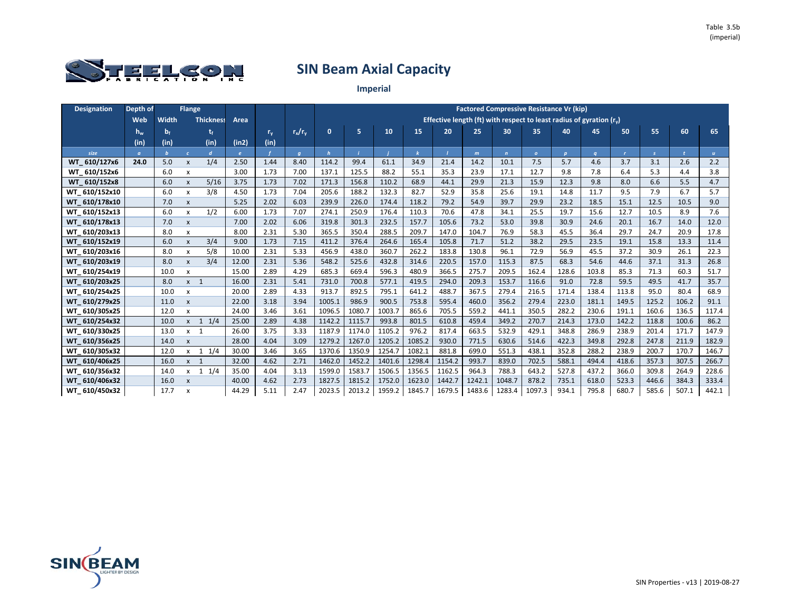

| <b>Designation</b>      | Depth of |       | <b>Flange</b>             |                  |            |         |                |              |        |        |        |        |        | <b>Factored Compressive Resistance Vr (kip)</b>                       |                |              |          |              |               |       |              |
|-------------------------|----------|-------|---------------------------|------------------|------------|---------|----------------|--------------|--------|--------|--------|--------|--------|-----------------------------------------------------------------------|----------------|--------------|----------|--------------|---------------|-------|--------------|
|                         | Web      | Width |                           | <b>Thickness</b> | Area       |         |                |              |        |        |        |        |        | Effective length (ft) with respect to least radius of gyration $(rv)$ |                |              |          |              |               |       |              |
|                         | $h_{w}$  | $b_f$ |                           | t,               |            | $r_{v}$ | $r_x/r_v$      | $\mathbf{0}$ | 5      | 10     | 15     | 20     | 25     | 30                                                                    | 35             | 40           | 45       | 50           | 55            | 60    | 65           |
|                         | (in)     | (in)  |                           | (in)             | (in2)      | (in)    |                |              |        |        |        |        |        |                                                                       |                |              |          |              |               |       |              |
| size                    | $\sigma$ |       | $\epsilon$                | $\mathbf{d}$     | $\epsilon$ |         | $\overline{q}$ | h            |        |        |        |        | m      | $\mathbf{n}$                                                          | $\overline{0}$ | $\mathbf{p}$ | $\alpha$ | $\mathbf{r}$ | $\mathcal{S}$ |       | $\mathbf{u}$ |
| WT 610/127x6            | 24.0     | 5.0   | X                         | 1/4              | 2.50       | 1.44    | 8.40           | 114.2        | 99.4   | 61.1   | 34.9   | 21.4   | 14.2   | 10.1                                                                  | 7.5            | 5.7          | 4.6      | 3.7          | 3.1           | 2.6   | 2.2          |
| WT_610/152x6            |          | 6.0   | $\boldsymbol{\mathsf{x}}$ |                  | 3.00       | 1.73    | 7.00           | 137.1        | 125.5  | 88.2   | 55.1   | 35.3   | 23.9   | 17.1                                                                  | 12.7           | 9.8          | 7.8      | 6.4          | 5.3           | 4.4   | 3.8          |
| 610/152x8<br><b>WT</b>  |          | 6.0   | X                         | 5/16             | 3.75       | 1.73    | 7.02           | 171.3        | 156.8  | 110.2  | 68.9   | 44.1   | 29.9   | 21.3                                                                  | 15.9           | 12.3         | 9.8      | 8.0          | 6.6           | 5.5   | 4.7          |
| WT 610/152x10           |          | 6.0   | $\mathsf{x}$              | 3/8              | 4.50       | 1.73    | 7.04           | 205.6        | 188.2  | 132.3  | 82.7   | 52.9   | 35.8   | 25.6                                                                  | 19.1           | 14.8         | 11.7     | 9.5          | 7.9           | 6.7   | 5.7          |
| WT 610/178x10           |          | 7.0   | $\pmb{\mathsf{x}}$        |                  | 5.25       | 2.02    | 6.03           | 239.9        | 226.0  | 174.4  | 118.2  | 79.2   | 54.9   | 39.7                                                                  | 29.9           | 23.2         | 18.5     | 15.1         | 12.5          | 10.5  | 9.0          |
| WT 610/152x13           |          | 6.0   | x                         | 1/2              | 6.00       | 1.73    | 7.07           | 274.1        | 250.9  | 176.4  | 110.3  | 70.6   | 47.8   | 34.1                                                                  | 25.5           | 19.7         | 15.6     | 12.7         | 10.5          | 8.9   | 7.6          |
| WT 610/178x13           |          | 7.0   | $\pmb{\mathsf{x}}$        |                  | 7.00       | 2.02    | 6.06           | 319.8        | 301.3  | 232.5  | 157.7  | 105.6  | 73.2   | 53.0                                                                  | 39.8           | 30.9         | 24.6     | 20.1         | 16.7          | 14.0  | 12.0         |
| WT 610/203x13           |          | 8.0   | X                         |                  | 8.00       | 2.31    | 5.30           | 365.5        | 350.4  | 288.5  | 209.7  | 147.0  | 104.7  | 76.9                                                                  | 58.3           | 45.5         | 36.4     | 29.7         | 24.7          | 20.9  | 17.8         |
| WT 610/152x19           |          | 6.0   | X                         | 3/4              | 9.00       | 1.73    | 7.15           | 411.2        | 376.4  | 264.6  | 165.4  | 105.8  | 71.7   | 51.2                                                                  | 38.2           | 29.5         | 23.5     | 19.1         | 15.8          | 13.3  | 11.4         |
| WT 610/203x16           |          | 8.0   | x                         | 5/8              | 10.00      | 2.31    | 5.33           | 456.9        | 438.0  | 360.7  | 262.2  | 183.8  | 130.8  | 96.1                                                                  | 72.9           | 56.9         | 45.5     | 37.2         | 30.9          | 26.1  | 22.3         |
| WT 610/203x19           |          | 8.0   | X                         | 3/4              | 12.00      | 2.31    | 5.36           | 548.2        | 525.6  | 432.8  | 314.6  | 220.5  | 157.0  | 115.3                                                                 | 87.5           | 68.3         | 54.6     | 44.6         | 37.1          | 31.3  | 26.8         |
| WT 610/254x19           |          | 10.0  | x                         |                  | 15.00      | 2.89    | 4.29           | 685.3        | 669.4  | 596.3  | 480.9  | 366.5  | 275.7  | 209.5                                                                 | 162.4          | 128.6        | 103.8    | 85.3         | 71.3          | 60.3  | 51.7         |
| WT 610/203x25           |          | 8.0   | $x \quad 1$               |                  | 16.00      | 2.31    | 5.41           | 731.0        | 700.8  | 577.1  | 419.5  | 294.0  | 209.3  | 153.7                                                                 | 116.6          | 91.0         | 72.8     | 59.5         | 49.5          | 41.7  | 35.7         |
| WT 610/254x25           |          | 10.0  | X                         |                  | 20.00      | 2.89    | 4.33           | 913.7        | 892.5  | 795.1  | 641.2  | 488.7  | 367.5  | 279.4                                                                 | 216.5          | 171.4        | 138.4    | 113.8        | 95.0          | 80.4  | 68.9         |
| WT 610/279x25           |          | 11.0  | X                         |                  | 22.00      | 3.18    | 3.94           | 1005.1       | 986.9  | 900.5  | 753.8  | 595.4  | 460.0  | 356.2                                                                 | 279.4          | 223.0        | 181.1    | 149.5        | 125.2         | 106.2 | 91.1         |
| WT 610/305x25           |          | 12.0  | x                         |                  | 24.00      | 3.46    | 3.61           | 1096.5       | 1080.7 | 1003.7 | 865.6  | 705.5  | 559.2  | 441.1                                                                 | 350.5          | 282.2        | 230.6    | 191.1        | 160.6         | 136.5 | 117.4        |
| WT 610/254x32           |          | 10.0  | $x \quad 1$               | 1/4              | 25.00      | 2.89    | 4.38           | 1142.2       | 1115.7 | 993.8  | 801.5  | 610.8  | 459.4  | 349.2                                                                 | 270.7          | 214.3        | 173.0    | 142.2        | 118.8         | 100.6 | 86.2         |
| WT 610/330x25           |          | 13.0  | $x \neq 1$                |                  | 26.00      | 3.75    | 3.33           | 1187.9       | 1174.0 | 1105.2 | 976.2  | 817.4  | 663.5  | 532.9                                                                 | 429.1          | 348.8        | 286.9    | 238.9        | 201.4         | 171.7 | 147.9        |
| 610/356x25<br><b>WT</b> |          | 14.0  | X                         |                  | 28.00      | 4.04    | 3.09           | 1279.2       | 1267.0 | 1205.2 | 1085.2 | 930.0  | 771.5  | 630.6                                                                 | 514.6          | 422.3        | 349.8    | 292.8        | 247.8         | 211.9 | 182.9        |
| WT_610/305x32           |          | 12.0  | $\mathsf{x}$              | $1 \t1/4$        | 30.00      | 3.46    | 3.65           | 1370.6       | 1350.9 | 1254.7 | 1082.1 | 881.8  | 699.0  | 551.3                                                                 | 438.1          | 352.8        | 288.2    | 238.9        | 200.7         | 170.7 | 146.7        |
| WT 610/406x25           |          | 16.0  | $x \neq 1$                |                  | 32.00      | 4.62    | 2.71           | 1462.0       | 1452.2 | 1401.6 | 1298.4 | 1154.2 | 993.7  | 839.0                                                                 | 702.5          | 588.1        | 494.4    | 418.6        | 357.3         | 307.5 | 266.7        |
| WT 610/356x32           |          | 14.0  | $\mathsf{x}$              | 1/4<br>1         | 35.00      | 4.04    | 3.13           | 1599.0       | 1583.7 | 1506.5 | 1356.5 | 1162.5 | 964.3  | 788.3                                                                 | 643.2          | 527.8        | 437.2    | 366.0        | 309.8         | 264.9 | 228.6        |
| WT 610/406x32           |          | 16.0  | $\mathsf{x}$              |                  | 40.00      | 4.62    | 2.73           | 1827.5       | 1815.2 | 1752.0 | 1623.0 | 1442.7 | 1242.1 | 1048.7                                                                | 878.2          | 735.1        | 618.0    | 523.3        | 446.6         | 384.3 | 333.4        |
| WT 610/450x32           |          | 17.7  | $\boldsymbol{\mathsf{x}}$ |                  | 44.29      | 5.11    | 2.47           | 2023.5       | 2013.2 | 1959.2 | 1845.7 | 1679.5 | 1483.6 | 1283.4                                                                | 1097.3         | 934.1        | 795.8    | 680.7        | 585.6         | 507.1 | 442.1        |

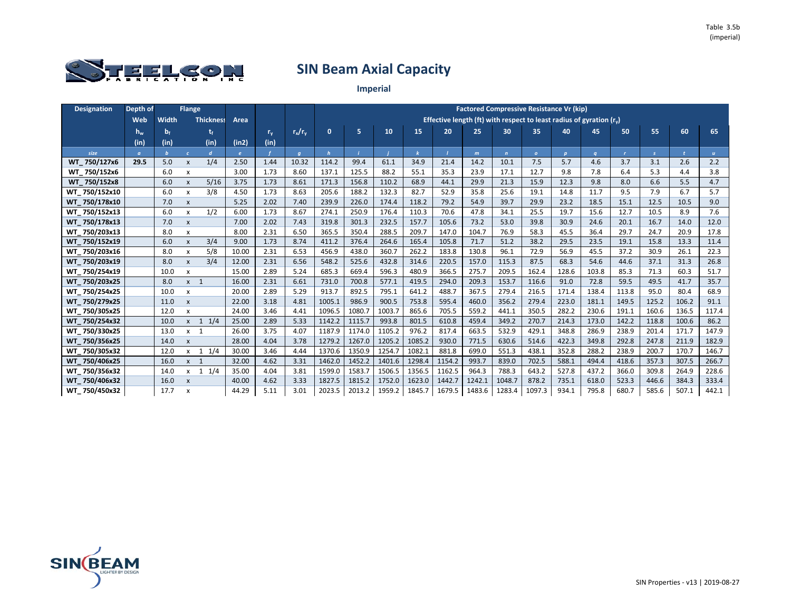

| <b>Designation</b> | Depth of          |       | <b>Flange</b>             |                  |              |         |                |              |        |        |        |                                                                            |              |              | <b>Factored Compressive Resistance Vr (kip)</b> |              |       |              |               |       |              |
|--------------------|-------------------|-------|---------------------------|------------------|--------------|---------|----------------|--------------|--------|--------|--------|----------------------------------------------------------------------------|--------------|--------------|-------------------------------------------------|--------------|-------|--------------|---------------|-------|--------------|
|                    | Web               | Width |                           | <b>Thickness</b> | Area         |         |                |              |        |        |        | Effective length (ft) with respect to least radius of gyration $(r_{\nu})$ |              |              |                                                 |              |       |              |               |       |              |
|                    | $\P$ $\mathbf{w}$ | $b_f$ |                           |                  |              | $r_{v}$ | $r_x/r_v$      | $\mathbf{0}$ | 5      | 10     | 15     | 20                                                                         | 25           | 30           | 35                                              | 40           | 45    | 50           | 55            | 60    | 65           |
|                    | (in)              | (in)  |                           | (in)             | (in2)        | (in)    |                |              |        |        |        |                                                                            |              |              |                                                 |              |       |              |               |       |              |
| size               | $\sigma$          |       | $\epsilon$                | $\mathbf{d}$     | $\mathbf{e}$ |         | $\overline{q}$ | $\mathbf h$  |        |        |        |                                                                            | $\mathbf{m}$ | $\mathbf{r}$ | $\mathbf{o}$                                    | $\mathbf{p}$ |       | $\mathbf{r}$ | $\mathcal{S}$ |       | $\mathbf{u}$ |
| WT 750/127x6       | 29.5              | 5.0   | X                         | 1/4              | 2.50         | 1.44    | 10.32          | 114.2        | 99.4   | 61.1   | 34.9   | 21.4                                                                       | 14.2         | 10.1         | 7.5                                             | 5.7          | 4.6   | 3.7          | 3.1           | 2.6   | 2.2          |
| WT 750/152x6       |                   | 6.0   | $\boldsymbol{\mathsf{x}}$ |                  | 3.00         | 1.73    | 8.60           | 137.1        | 125.5  | 88.2   | 55.1   | 35.3                                                                       | 23.9         | 17.1         | 12.7                                            | 9.8          | 7.8   | 6.4          | 5.3           | 4.4   | 3.8          |
| WT 750/152x8       |                   | 6.0   | X                         | 5/16             | 3.75         | 1.73    | 8.61           | 171.3        | 156.8  | 110.2  | 68.9   | 44.1                                                                       | 29.9         | 21.3         | 15.9                                            | 12.3         | 9.8   | 8.0          | 6.6           | 5.5   | 4.7          |
| WT 750/152x10      |                   | 6.0   | $\mathsf{x}$              | 3/8              | 4.50         | 1.73    | 8.63           | 205.6        | 188.2  | 132.3  | 82.7   | 52.9                                                                       | 35.8         | 25.6         | 19.1                                            | 14.8         | 11.7  | 9.5          | 7.9           | 6.7   | 5.7          |
| WT 750/178x10      |                   | 7.0   | X                         |                  | 5.25         | 2.02    | 7.40           | 239.9        | 226.0  | 174.4  | 118.2  | 79.2                                                                       | 54.9         | 39.7         | 29.9                                            | 23.2         | 18.5  | 15.1         | 12.5          | 10.5  | 9.0          |
| WT 750/152x13      |                   | 6.0   | X                         | 1/2              | 6.00         | 1.73    | 8.67           | 274.1        | 250.9  | 176.4  | 110.3  | 70.6                                                                       | 47.8         | 34.1         | 25.5                                            | 19.7         | 15.6  | 12.7         | 10.5          | 8.9   | 7.6          |
| WT 750/178x13      |                   | 7.0   | X                         |                  | 7.00         | 2.02    | 7.43           | 319.8        | 301.3  | 232.5  | 157.7  | 105.6                                                                      | 73.2         | 53.0         | 39.8                                            | 30.9         | 24.6  | 20.1         | 16.7          | 14.0  | 12.0         |
| WT 750/203x13      |                   | 8.0   | x                         |                  | 8.00         | 2.31    | 6.50           | 365.5        | 350.4  | 288.5  | 209.7  | 147.0                                                                      | 104.7        | 76.9         | 58.3                                            | 45.5         | 36.4  | 29.7         | 24.7          | 20.9  | 17.8         |
| WT 750/152x19      |                   | 6.0   | X                         | 3/4              | 9.00         | 1.73    | 8.74           | 411.2        | 376.4  | 264.6  | 165.4  | 105.8                                                                      | 71.7         | 51.2         | 38.2                                            | 29.5         | 23.5  | 19.1         | 15.8          | 13.3  | 11.4         |
| WT 750/203x16      |                   | 8.0   | x                         | 5/8              | 10.00        | 2.31    | 6.53           | 456.9        | 438.0  | 360.7  | 262.2  | 183.8                                                                      | 130.8        | 96.1         | 72.9                                            | 56.9         | 45.5  | 37.2         | 30.9          | 26.1  | 22.3         |
| WT 750/203x19      |                   | 8.0   | X                         | 3/4              | 12.00        | 2.31    | 6.56           | 548.2        | 525.6  | 432.8  | 314.6  | 220.5                                                                      | 157.0        | 115.3        | 87.5                                            | 68.3         | 54.6  | 44.6         | 37.1          | 31.3  | 26.8         |
| WT 750/254x19      |                   | 10.0  | x                         |                  | 15.00        | 2.89    | 5.24           | 685.3        | 669.4  | 596.3  | 480.9  | 366.5                                                                      | 275.7        | 209.5        | 162.4                                           | 128.6        | 103.8 | 85.3         | 71.3          | 60.3  | 51.7         |
| WT_750/203x25      |                   | 8.0   | $x \quad 1$               |                  | 16.00        | 2.31    | 6.61           | 731.0        | 700.8  | 577.1  | 419.5  | 294.0                                                                      | 209.3        | 153.7        | 116.6                                           | 91.0         | 72.8  | 59.5         | 49.5          | 41.7  | 35.7         |
| WT 750/254x25      |                   | 10.0  | x                         |                  | 20.00        | 2.89    | 5.29           | 913.7        | 892.5  | 795.1  | 641.2  | 488.7                                                                      | 367.5        | 279.4        | 216.5                                           | 171.4        | 138.4 | 113.8        | 95.0          | 80.4  | 68.9         |
| WT 750/279x25      |                   | 11.0  | X                         |                  | 22.00        | 3.18    | 4.81           | 1005.1       | 986.9  | 900.5  | 753.8  | 595.4                                                                      | 460.0        | 356.2        | 279.4                                           | 223.0        | 181.1 | 149.5        | 125.2         | 106.2 | 91.1         |
| WT 750/305x25      |                   | 12.0  | X                         |                  | 24.00        | 3.46    | 4.41           | 1096.5       | 1080.7 | 1003.7 | 865.6  | 705.5                                                                      | 559.2        | 441.1        | 350.5                                           | 282.2        | 230.6 | 191.1        | 160.6         | 136.5 | 117.4        |
| WT 750/254x32      |                   | 10.0  | $\mathsf{x}$              | 1/4<br>1         | 25.00        | 2.89    | 5.33           | 1142.2       | 1115.7 | 993.8  | 801.5  | 610.8                                                                      | 459.4        | 349.2        | 270.7                                           | 214.3        | 173.0 | 142.2        | 118.8         | 100.6 | 86.2         |
| WT 750/330x25      |                   | 13.0  | $x \quad 1$               |                  | 26.00        | 3.75    | 4.07           | 1187.9       | 1174.0 | 1105.2 | 976.2  | 817.4                                                                      | 663.5        | 532.9        | 429.1                                           | 348.8        | 286.9 | 238.9        | 201.4         | 171.7 | 147.9        |
| WT 750/356x25      |                   | 14.0  | X                         |                  | 28.00        | 4.04    | 3.78           | 1279.2       | 1267.0 | 1205.2 | 1085.2 | 930.0                                                                      | 771.5        | 630.6        | 514.6                                           | 422.3        | 349.8 | 292.8        | 247.8         | 211.9 | 182.9        |
| WT_750/305x32      |                   | 12.0  | $\mathsf{x}$              | $1 \t1/4$        | 30.00        | 3.46    | 4.44           | 1370.6       | 1350.9 | 1254.7 | 1082.1 | 881.8                                                                      | 699.0        | 551.3        | 438.1                                           | 352.8        | 288.2 | 238.9        | 200.7         | 170.7 | 146.7        |
| WT 750/406x25      |                   | 16.0  | $x \neq 1$                |                  | 32.00        | 4.62    | 3.31           | 1462.0       | 1452.2 | 1401.6 | 1298.4 | 1154.2                                                                     | 993.7        | 839.0        | 702.5                                           | 588.1        | 494.4 | 418.6        | 357.3         | 307.5 | 266.7        |
| WT 750/356x32      |                   | 14.0  | $\mathsf{x}$              | 1/4<br>1         | 35.00        | 4.04    | 3.81           | 1599.0       | 1583.7 | 1506.5 | 1356.5 | 1162.5                                                                     | 964.3        | 788.3        | 643.2                                           | 527.8        | 437.2 | 366.0        | 309.8         | 264.9 | 228.6        |
| WT 750/406x32      |                   | 16.0  | $\pmb{\mathsf{x}}$        |                  | 40.00        | 4.62    | 3.33           | 1827.5       | 1815.2 | 1752.0 | 1623.0 | 1442.7                                                                     | 1242.1       | 1048.7       | 878.2                                           | 735.1        | 618.0 | 523.3        | 446.6         | 384.3 | 333.4        |
| WT 750/450x32      |                   | 17.7  | $\boldsymbol{\mathsf{x}}$ |                  | 44.29        | 5.11    | 3.01           | 2023.5       | 2013.2 | 1959.2 | 1845.7 | 1679.5                                                                     | 1483.6       | 1283.4       | 1097.3                                          | 934.1        | 795.8 | 680.7        | 585.6         | 507.1 | 442.1        |

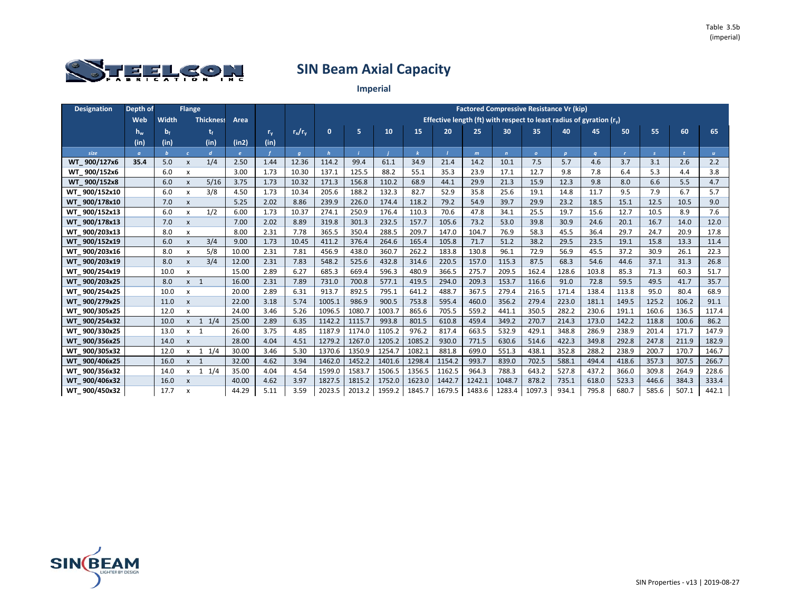

| <b>Designation</b> | Depth of       |       | <b>Flange</b>             |                  |            |         |                |              |        |        |        |        |        | <b>Factored Compressive Resistance Vr (kip)</b>                        |                |              |          |              |               |       |              |
|--------------------|----------------|-------|---------------------------|------------------|------------|---------|----------------|--------------|--------|--------|--------|--------|--------|------------------------------------------------------------------------|----------------|--------------|----------|--------------|---------------|-------|--------------|
|                    | Web            | Width |                           | <b>Thickness</b> | Area       |         |                |              |        |        |        |        |        | Effective length (ft) with respect to least radius of gyration $(r_0)$ |                |              |          |              |               |       |              |
|                    | $h_w$          | $b_f$ |                           |                  |            | $r_{v}$ | $r_x/r_v$      | $\mathbf{0}$ | 5      | 10     | 15     | 20     | 25     | 30                                                                     | 35             | 40           | 45       | 50           | 55            | 60    | 65           |
|                    | (in)           | (in)  |                           | (in)             | (in2)      | (in)    |                |              |        |        |        |        |        |                                                                        |                |              |          |              |               |       |              |
| size               | $\mathfrak{a}$ |       | $\epsilon$                | $\boldsymbol{d}$ | $\epsilon$ |         | $\overline{q}$ | $\mathbf{h}$ |        |        |        |        | m      | $\mathbf{n}$                                                           | $\overline{O}$ | $\mathbf{p}$ | $\alpha$ | $\mathbf{r}$ | $\mathcal{S}$ |       | $\mathbf{u}$ |
| WT 900/127x6       | 35.4           | 5.0   | $\pmb{\mathsf{x}}$        | 1/4              | 2.50       | 1.44    | 12.36          | 114.2        | 99.4   | 61.1   | 34.9   | 21.4   | 14.2   | 10.1                                                                   | 7.5            | 5.7          | 4.6      | 3.7          | 3.1           | 2.6   | 2.2          |
| WT 900/152x6       |                | 6.0   | x                         |                  | 3.00       | 1.73    | 10.30          | 137.1        | 125.5  | 88.2   | 55.1   | 35.3   | 23.9   | 17.1                                                                   | 12.7           | 9.8          | 7.8      | 6.4          | 5.3           | 4.4   | 3.8          |
| WT 900/152x8       |                | 6.0   | X                         | 5/16             | 3.75       | 1.73    | 10.32          | 171.3        | 156.8  | 110.2  | 68.9   | 44.1   | 29.9   | 21.3                                                                   | 15.9           | 12.3         | 9.8      | 8.0          | 6.6           | 5.5   | 4.7          |
| WT 900/152x10      |                | 6.0   | $\mathsf{x}$              | 3/8              | 4.50       | 1.73    | 10.34          | 205.6        | 188.2  | 132.3  | 82.7   | 52.9   | 35.8   | 25.6                                                                   | 19.1           | 14.8         | 11.7     | 9.5          | 7.9           | 6.7   | 5.7          |
| WT 900/178x10      |                | 7.0   | X                         |                  | 5.25       | 2.02    | 8.86           | 239.9        | 226.0  | 174.4  | 118.2  | 79.2   | 54.9   | 39.7                                                                   | 29.9           | 23.2         | 18.5     | 15.1         | 12.5          | 10.5  | 9.0          |
| WT 900/152x13      |                | 6.0   | X                         | 1/2              | 6.00       | 1.73    | 10.37          | 274.1        | 250.9  | 176.4  | 110.3  | 70.6   | 47.8   | 34.1                                                                   | 25.5           | 19.7         | 15.6     | 12.7         | 10.5          | 8.9   | 7.6          |
| WT 900/178x13      |                | 7.0   | $\pmb{\mathsf{x}}$        |                  | 7.00       | 2.02    | 8.89           | 319.8        | 301.3  | 232.5  | 157.7  | 105.6  | 73.2   | 53.0                                                                   | 39.8           | 30.9         | 24.6     | 20.1         | 16.7          | 14.0  | 12.0         |
| WT 900/203x13      |                | 8.0   | x                         |                  | 8.00       | 2.31    | 7.78           | 365.5        | 350.4  | 288.5  | 209.7  | 147.0  | 104.7  | 76.9                                                                   | 58.3           | 45.5         | 36.4     | 29.7         | 24.7          | 20.9  | 17.8         |
| WT 900/152x19      |                | 6.0   | X                         | 3/4              | 9.00       | 1.73    | 10.45          | 411.2        | 376.4  | 264.6  | 165.4  | 105.8  | 71.7   | 51.2                                                                   | 38.2           | 29.5         | 23.5     | 19.1         | 15.8          | 13.3  | 11.4         |
| WT 900/203x16      |                | 8.0   | X                         | 5/8              | 10.00      | 2.31    | 7.81           | 456.9        | 438.0  | 360.7  | 262.2  | 183.8  | 130.8  | 96.1                                                                   | 72.9           | 56.9         | 45.5     | 37.2         | 30.9          | 26.1  | 22.3         |
| WT 900/203x19      |                | 8.0   | $\pmb{\mathsf{x}}$        | 3/4              | 12.00      | 2.31    | 7.83           | 548.2        | 525.6  | 432.8  | 314.6  | 220.5  | 157.0  | 115.3                                                                  | 87.5           | 68.3         | 54.6     | 44.6         | 37.1          | 31.3  | 26.8         |
| WT 900/254x19      |                | 10.0  | x                         |                  | 15.00      | 2.89    | 6.27           | 685.3        | 669.4  | 596.3  | 480.9  | 366.5  | 275.7  | 209.5                                                                  | 162.4          | 128.6        | 103.8    | 85.3         | 71.3          | 60.3  | 51.7         |
| WT 900/203x25      |                | 8.0   | $x \quad 1$               |                  | 16.00      | 2.31    | 7.89           | 731.0        | 700.8  | 577.1  | 419.5  | 294.0  | 209.3  | 153.7                                                                  | 116.6          | 91.0         | 72.8     | 59.5         | 49.5          | 41.7  | 35.7         |
| WT 900/254x25      |                | 10.0  | $\pmb{\times}$            |                  | 20.00      | 2.89    | 6.31           | 913.7        | 892.5  | 795.1  | 641.2  | 488.7  | 367.5  | 279.4                                                                  | 216.5          | 171.4        | 138.4    | 113.8        | 95.0          | 80.4  | 68.9         |
| WT 900/279x25      |                | 11.0  | $\pmb{\mathsf{x}}$        |                  | 22.00      | 3.18    | 5.74           | 1005.1       | 986.9  | 900.5  | 753.8  | 595.4  | 460.0  | 356.2                                                                  | 279.4          | 223.0        | 181.1    | 149.5        | 125.2         | 106.2 | 91.1         |
| WT 900/305x25      |                | 12.0  | $\mathsf{x}$              |                  | 24.00      | 3.46    | 5.26           | 1096.5       | 1080.7 | 1003.7 | 865.6  | 705.5  | 559.2  | 441.1                                                                  | 350.5          | 282.2        | 230.6    | 191.1        | 160.6         | 136.5 | 117.4        |
| WT 900/254x32      |                | 10.0  | $x \quad 1$               | 1/4              | 25.00      | 2.89    | 6.35           | 1142.2       | 1115.7 | 993.8  | 801.5  | 610.8  | 459.4  | 349.2                                                                  | 270.7          | 214.3        | 173.0    | 142.2        | 118.8         | 100.6 | 86.2         |
| WT 900/330x25      |                | 13.0  | $x \quad 1$               |                  | 26.00      | 3.75    | 4.85           | 1187.9       | 1174.0 | 1105.2 | 976.2  | 817.4  | 663.5  | 532.9                                                                  | 429.1          | 348.8        | 286.9    | 238.9        | 201.4         | 171.7 | 147.9        |
| WT 900/356x25      |                | 14.0  | X                         |                  | 28.00      | 4.04    | 4.51           | 1279.2       | 1267.0 | 1205.2 | 1085.2 | 930.0  | 771.5  | 630.6                                                                  | 514.6          | 422.3        | 349.8    | 292.8        | 247.8         | 211.9 | 182.9        |
| WT_900/305x32      |                | 12.0  | $\mathsf{x}$              | $1 \t1/4$        | 30.00      | 3.46    | 5.30           | 1370.6       | 1350.9 | 1254.7 | 1082.1 | 881.8  | 699.0  | 551.3                                                                  | 438.1          | 352.8        | 288.2    | 238.9        | 200.7         | 170.7 | 146.7        |
| WT 900/406x25      |                | 16.0  | $x \quad 1$               |                  | 32.00      | 4.62    | 3.94           | 1462.0       | 1452.2 | 1401.6 | 1298.4 | 1154.2 | 993.7  | 839.0                                                                  | 702.5          | 588.1        | 494.4    | 418.6        | 357.3         | 307.5 | 266.7        |
| WT 900/356x32      |                | 14.0  | $\mathsf{x}$              | 1/4<br>1         | 35.00      | 4.04    | 4.54           | 1599.0       | 1583.7 | 1506.5 | 1356.5 | 1162.5 | 964.3  | 788.3                                                                  | 643.2          | 527.8        | 437.2    | 366.0        | 309.8         | 264.9 | 228.6        |
| WT 900/406x32      |                | 16.0  | $\mathsf{x}$              |                  | 40.00      | 4.62    | 3.97           | 1827.5       | 1815.2 | 1752.0 | 1623.0 | 1442.7 | 1242.1 | 1048.7                                                                 | 878.2          | 735.1        | 618.0    | 523.3        | 446.6         | 384.3 | 333.4        |
| WT 900/450x32      |                | 17.7  | $\boldsymbol{\mathsf{x}}$ |                  | 44.29      | 5.11    | 3.59           | 2023.5       | 2013.2 | 1959.2 | 1845.7 | 1679.5 | 1483.6 | 1283.4                                                                 | 1097.3         | 934.1        | 795.8    | 680.7        | 585.6         | 507.1 | 442.1        |

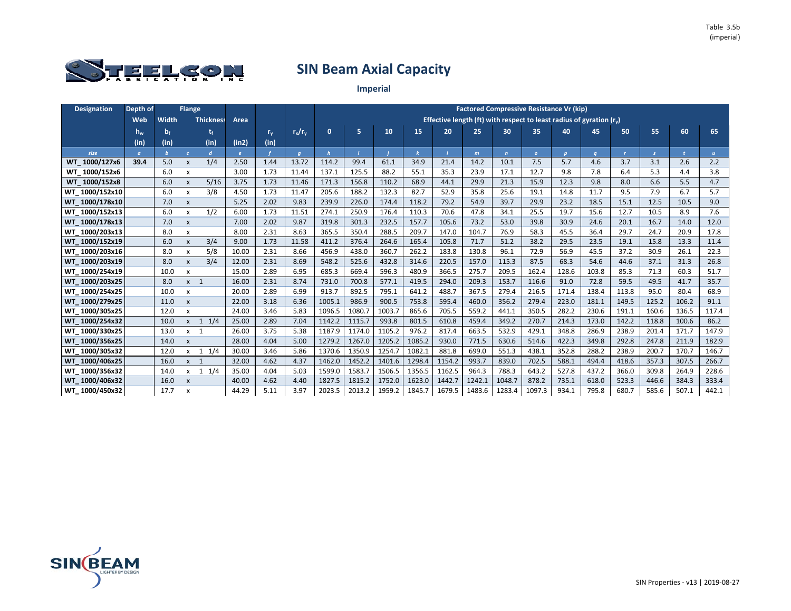

| <b>Designation</b> | Depth of |         | <b>Flange</b>             |                  |            |             |                |              |        |        |        |        |        |              | <b>Factored Compressive Resistance Vr (kip)</b>                       |              |          |              |               |              |              |
|--------------------|----------|---------|---------------------------|------------------|------------|-------------|----------------|--------------|--------|--------|--------|--------|--------|--------------|-----------------------------------------------------------------------|--------------|----------|--------------|---------------|--------------|--------------|
|                    | Web      | Width   |                           | <b>Thickness</b> | Area       |             |                |              |        |        |        |        |        |              | Effective length (ft) with respect to least radius of gyration $(rv)$ |              |          |              |               |              |              |
|                    | $h_w$    | $b_{f}$ |                           |                  |            | $r_{\rm v}$ | $r_x/r_v$      | $\mathbf{0}$ | 5      | 10     | 15     | 20     | 25     | 30           | 35                                                                    | 40           | 45       | 50           | 55            | 60           | 65           |
|                    | (in)     | (in)    |                           | (in)             | (in2)      | (in)        |                |              |        |        |        |        |        |              |                                                                       |              |          |              |               |              |              |
| size               | $\alpha$ |         | $\epsilon$                | $\overline{d}$   | $\epsilon$ |             | $\overline{q}$ | h            |        |        |        |        | m      | $\mathbf{n}$ | $\overline{O}$                                                        | $\mathbf{p}$ | $\alpha$ | $\mathbf{r}$ | $\mathcal{S}$ | $\mathbf{r}$ | $\mathbf{u}$ |
| WT 1000/127x6      | 39.4     | 5.0     | $\boldsymbol{\mathsf{x}}$ | 1/4              | 2.50       | 1.44        | 13.72          | 114.2        | 99.4   | 61.1   | 34.9   | 21.4   | 14.2   | 10.1         | 7.5                                                                   | 5.7          | 4.6      | 3.7          | 3.1           | 2.6          | 2.2          |
| WT 1000/152x6      |          | 6.0     | X                         |                  | 3.00       | 1.73        | 11.44          | 137.1        | 125.5  | 88.2   | 55.1   | 35.3   | 23.9   | 17.1         | 12.7                                                                  | 9.8          | 7.8      | 6.4          | 5.3           | 4.4          | 3.8          |
| WT 1000/152x8      |          | 6.0     | $\mathsf{x}$              | 5/16             | 3.75       | 1.73        | 11.46          | 171.3        | 156.8  | 110.2  | 68.9   | 44.1   | 29.9   | 21.3         | 15.9                                                                  | 12.3         | 9.8      | 8.0          | 6.6           | 5.5          | 4.7          |
| WT 1000/152x10     |          | 6.0     | $\boldsymbol{\mathsf{x}}$ | 3/8              | 4.50       | 1.73        | 11.47          | 205.6        | 188.2  | 132.3  | 82.7   | 52.9   | 35.8   | 25.6         | 19.1                                                                  | 14.8         | 11.7     | 9.5          | 7.9           | 6.7          | 5.7          |
| WT 1000/178x10     |          | 7.0     | $\pmb{\times}$            |                  | 5.25       | 2.02        | 9.83           | 239.9        | 226.0  | 174.4  | 118.2  | 79.2   | 54.9   | 39.7         | 29.9                                                                  | 23.2         | 18.5     | 15.1         | 12.5          | 10.5         | 9.0          |
| WT 1000/152x13     |          | 6.0     | $\mathsf{x}$              | 1/2              | 6.00       | 1.73        | 11.51          | 274.1        | 250.9  | 176.4  | 110.3  | 70.6   | 47.8   | 34.1         | 25.5                                                                  | 19.7         | 15.6     | 12.7         | 10.5          | 8.9          | 7.6          |
| WT 1000/178x13     |          | 7.0     | $\pmb{\times}$            |                  | 7.00       | 2.02        | 9.87           | 319.8        | 301.3  | 232.5  | 157.7  | 105.6  | 73.2   | 53.0         | 39.8                                                                  | 30.9         | 24.6     | 20.1         | 16.7          | 14.0         | 12.0         |
| WT 1000/203x13     |          | 8.0     | $\boldsymbol{\mathsf{x}}$ |                  | 8.00       | 2.31        | 8.63           | 365.5        | 350.4  | 288.5  | 209.7  | 147.0  | 104.7  | 76.9         | 58.3                                                                  | 45.5         | 36.4     | 29.7         | 24.7          | 20.9         | 17.8         |
| WT 1000/152x19     |          | 6.0     | $\pmb{\times}$            | 3/4              | 9.00       | 1.73        | 11.58          | 411.2        | 376.4  | 264.6  | 165.4  | 105.8  | 71.7   | 51.2         | 38.2                                                                  | 29.5         | 23.5     | 19.1         | 15.8          | 13.3         | 11.4         |
| WT 1000/203x16     |          | 8.0     | $\boldsymbol{\mathsf{x}}$ | 5/8              | 10.00      | 2.31        | 8.66           | 456.9        | 438.0  | 360.7  | 262.2  | 183.8  | 130.8  | 96.1         | 72.9                                                                  | 56.9         | 45.5     | 37.2         | 30.9          | 26.1         | 22.3         |
| WT 1000/203x19     |          | 8.0     | X                         | 3/4              | 12.00      | 2.31        | 8.69           | 548.2        | 525.6  | 432.8  | 314.6  | 220.5  | 157.0  | 115.3        | 87.5                                                                  | 68.3         | 54.6     | 44.6         | 37.1          | 31.3         | 26.8         |
| WT 1000/254x19     |          | 10.0    | X                         |                  | 15.00      | 2.89        | 6.95           | 685.3        | 669.4  | 596.3  | 480.9  | 366.5  | 275.7  | 209.5        | 162.4                                                                 | 128.6        | 103.8    | 85.3         | 71.3          | 60.3         | 51.7         |
| WT 1000/203x25     |          | 8.0     | $x \quad 1$               |                  | 16.00      | 2.31        | 8.74           | 731.0        | 700.8  | 577.1  | 419.5  | 294.0  | 209.3  | 153.7        | 116.6                                                                 | 91.0         | 72.8     | 59.5         | 49.5          | 41.7         | 35.7         |
| WT 1000/254x25     |          | 10.0    | $\mathsf{x}$              |                  | 20.00      | 2.89        | 6.99           | 913.7        | 892.5  | 795.1  | 641.2  | 488.7  | 367.5  | 279.4        | 216.5                                                                 | 171.4        | 138.4    | 113.8        | 95.0          | 80.4         | 68.9         |
| WT 1000/279x25     |          | 11.0    | $\pmb{\times}$            |                  | 22.00      | 3.18        | 6.36           | 1005.1       | 986.9  | 900.5  | 753.8  | 595.4  | 460.0  | 356.2        | 279.4                                                                 | 223.0        | 181.1    | 149.5        | 125.2         | 106.2        | 91.1         |
| WT 1000/305x25     |          | 12.0    | $\boldsymbol{\mathsf{x}}$ |                  | 24.00      | 3.46        | 5.83           | 1096.5       | 1080.7 | 1003.7 | 865.6  | 705.5  | 559.2  | 441.1        | 350.5                                                                 | 282.2        | 230.6    | 191.1        | 160.6         | 136.5        | 117.4        |
| WT 1000/254x32     |          | 10.0    | $x \quad 1$               | 1/4              | 25.00      | 2.89        | 7.04           | 1142.2       | 1115.7 | 993.8  | 801.5  | 610.8  | 459.4  | 349.2        | 270.7                                                                 | 214.3        | 173.0    | 142.2        | 118.8         | 100.6        | 86.2         |
| WT 1000/330x25     |          | 13.0    | $x \quad 1$               |                  | 26.00      | 3.75        | 5.38           | 1187.9       | 1174.0 | 1105.2 | 976.2  | 817.4  | 663.5  | 532.9        | 429.1                                                                 | 348.8        | 286.9    | 238.9        | 201.4         | 171.7        | 147.9        |
| WT 1000/356x25     |          | 14.0    | $\boldsymbol{\mathsf{x}}$ |                  | 28.00      | 4.04        | 5.00           | 1279.2       | 1267.0 | 1205.2 | 1085.2 | 930.0  | 771.5  | 630.6        | 514.6                                                                 | 422.3        | 349.8    | 292.8        | 247.8         | 211.9        | 182.9        |
| WT 1000/305x32     |          | 12.0    | $\mathsf{x}$              | $1 \t1/4$        | 30.00      | 3.46        | 5.86           | 1370.6       | 1350.9 | 1254.7 | 1082.1 | 881.8  | 699.0  | 551.3        | 438.1                                                                 | 352.8        | 288.2    | 238.9        | 200.7         | 170.7        | 146.7        |
| WT 1000/406x25     |          | 16.0    | $x \quad 1$               |                  | 32.00      | 4.62        | 4.37           | 1462.0       | 1452.2 | 1401.6 | 1298.4 | 1154.2 | 993.7  | 839.0        | 702.5                                                                 | 588.1        | 494.4    | 418.6        | 357.3         | 307.5        | 266.7        |
| WT 1000/356x32     |          | 14.0    | X                         | 1/4<br>1         | 35.00      | 4.04        | 5.03           | 1599.0       | 1583.7 | 1506.5 | 1356.5 | 1162.5 | 964.3  | 788.3        | 643.2                                                                 | 527.8        | 437.2    | 366.0        | 309.8         | 264.9        | 228.6        |
| WT 1000/406x32     |          | 16.0    | $\mathsf{x}$              |                  | 40.00      | 4.62        | 4.40           | 1827.5       | 1815.2 | 1752.0 | 1623.0 | 1442.7 | 1242.1 | 1048.7       | 878.2                                                                 | 735.1        | 618.0    | 523.3        | 446.6         | 384.3        | 333.4        |
| WT 1000/450x32     |          | 17.7    | X                         |                  | 44.29      | 5.11        | 3.97           | 2023.5       | 2013.2 | 1959.2 | 1845.7 | 1679.5 | 1483.6 | 1283.4       | 1097.3                                                                | 934.1        | 795.8    | 680.7        | 585.6         | 507.1        | 442.1        |

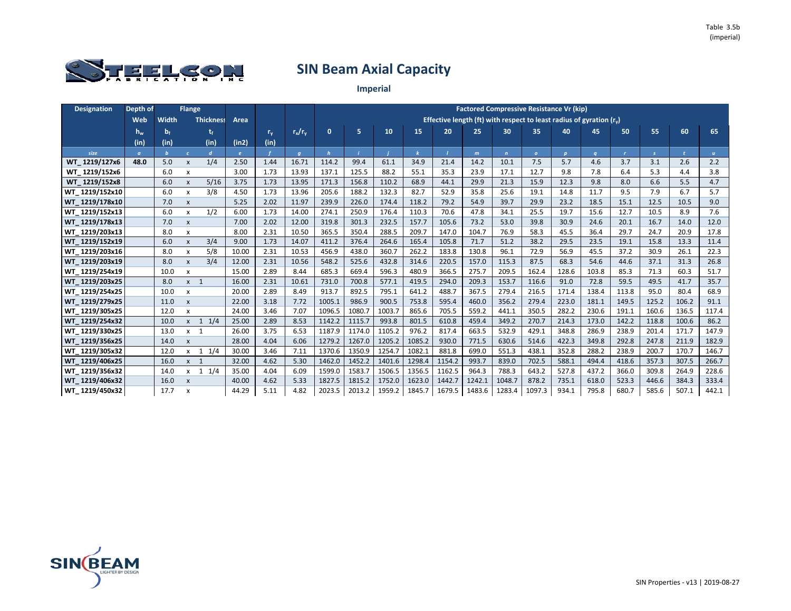

| <b>Designation</b> | Depth of |         | <b>Flange</b>             |                  |       |         |                |              |        |        |        |        |        | <b>Factored Compressive Resistance Vr (kip)</b>                     |              |              |          |              |               |       |              |
|--------------------|----------|---------|---------------------------|------------------|-------|---------|----------------|--------------|--------|--------|--------|--------|--------|---------------------------------------------------------------------|--------------|--------------|----------|--------------|---------------|-------|--------------|
|                    | Web      | Width   |                           | <b>Thickness</b> | Area  |         |                |              |        |        |        |        |        | Effective length (ft) with respect to least radius of gyration (r.) |              |              |          |              |               |       |              |
|                    | $h_w$    | $b_{f}$ |                           |                  |       | $r_{v}$ | $r_x/r_v$      | $\mathbf{0}$ | 5      | 10     | 15     | 20     | 25     | 30                                                                  | 35           | 40           | 45       | 50           | 55            | 60    | 65           |
|                    | (in)     | (in)    |                           | (in)             | (in2) | (in)    |                |              |        |        |        |        |        |                                                                     |              |              |          |              |               |       |              |
| size               | $\sigma$ |         | $\epsilon$                | $\mathbf{d}$     | e     |         | $\overline{q}$ | $\mathbf{h}$ |        |        |        |        | m      | $\mathbf{n}$                                                        | $\mathbf{o}$ | $\mathbf{p}$ | $\sigma$ | $\mathbf{r}$ | $\mathcal{S}$ |       | $\mathbf{u}$ |
| WT 1219/127x6      | 48.0     | 5.0     | $\mathsf{x}$              | 1/4              | 2.50  | 1.44    | 16.71          | 114.2        | 99.4   | 61.1   | 34.9   | 21.4   | 14.2   | 10.1                                                                | 7.5          | 5.7          | 4.6      | 3.7          | 3.1           | 2.6   | 2.2          |
| WT 1219/152x6      |          | 6.0     | $\boldsymbol{\mathsf{x}}$ |                  | 3.00  | 1.73    | 13.93          | 137.1        | 125.5  | 88.2   | 55.1   | 35.3   | 23.9   | 17.1                                                                | 12.7         | 9.8          | 7.8      | 6.4          | 5.3           | 4.4   | 3.8          |
| WT 1219/152x8      |          | 6.0     | $\pmb{\times}$            | 5/16             | 3.75  | 1.73    | 13.95          | 171.3        | 156.8  | 110.2  | 68.9   | 44.1   | 29.9   | 21.3                                                                | 15.9         | 12.3         | 9.8      | 8.0          | 6.6           | 5.5   | 4.7          |
| WT 1219/152x10     |          | 6.0     | x                         | 3/8              | 4.50  | 1.73    | 13.96          | 205.6        | 188.2  | 132.3  | 82.7   | 52.9   | 35.8   | 25.6                                                                | 19.1         | 14.8         | 11.7     | 9.5          | 7.9           | 6.7   | 5.7          |
| WT 1219/178x10     |          | 7.0     | X                         |                  | 5.25  | 2.02    | 11.97          | 239.9        | 226.0  | 174.4  | 118.2  | 79.2   | 54.9   | 39.7                                                                | 29.9         | 23.2         | 18.5     | 15.1         | 12.5          | 10.5  | 9.0          |
| WT 1219/152x13     |          | 6.0     | $\boldsymbol{\mathsf{x}}$ | 1/2              | 6.00  | 1.73    | 14.00          | 274.1        | 250.9  | 176.4  | 110.3  | 70.6   | 47.8   | 34.1                                                                | 25.5         | 19.7         | 15.6     | 12.7         | 10.5          | 8.9   | 7.6          |
| WT 1219/178x13     |          | 7.0     | $\pmb{\times}$            |                  | 7.00  | 2.02    | 12.00          | 319.8        | 301.3  | 232.5  | 157.7  | 105.6  | 73.2   | 53.0                                                                | 39.8         | 30.9         | 24.6     | 20.1         | 16.7          | 14.0  | 12.0         |
| WT 1219/203x13     |          | 8.0     | X                         |                  | 8.00  | 2.31    | 10.50          | 365.5        | 350.4  | 288.5  | 209.7  | 147.0  | 104.7  | 76.9                                                                | 58.3         | 45.5         | 36.4     | 29.7         | 24.7          | 20.9  | 17.8         |
| WT 1219/152x19     |          | 6.0     | X                         | 3/4              | 9.00  | 1.73    | 14.07          | 411.2        | 376.4  | 264.6  | 165.4  | 105.8  | 71.7   | 51.2                                                                | 38.2         | 29.5         | 23.5     | 19.1         | 15.8          | 13.3  | 11.4         |
| WT 1219/203x16     |          | 8.0     | $\boldsymbol{\mathsf{x}}$ | 5/8              | 10.00 | 2.31    | 10.53          | 456.9        | 438.0  | 360.7  | 262.2  | 183.8  | 130.8  | 96.1                                                                | 72.9         | 56.9         | 45.5     | 37.2         | 30.9          | 26.1  | 22.3         |
| WT 1219/203x19     |          | 8.0     | $\pmb{\mathsf{x}}$        | 3/4              | 12.00 | 2.31    | 10.56          | 548.2        | 525.6  | 432.8  | 314.6  | 220.5  | 157.0  | 115.3                                                               | 87.5         | 68.3         | 54.6     | 44.6         | 37.1          | 31.3  | 26.8         |
| WT 1219/254x19     |          | 10.0    | X                         |                  | 15.00 | 2.89    | 8.44           | 685.3        | 669.4  | 596.3  | 480.9  | 366.5  | 275.7  | 209.5                                                               | 162.4        | 128.6        | 103.8    | 85.3         | 71.3          | 60.3  | 51.7         |
| WT 1219/203x25     |          | 8.0     | $x \quad 1$               |                  | 16.00 | 2.31    | 10.61          | 731.0        | 700.8  | 577.1  | 419.5  | 294.0  | 209.3  | 153.7                                                               | 116.6        | 91.0         | 72.8     | 59.5         | 49.5          | 41.7  | 35.7         |
| WT 1219/254x25     |          | 10.0    | x                         |                  | 20.00 | 2.89    | 8.49           | 913.7        | 892.5  | 795.1  | 641.2  | 488.7  | 367.5  | 279.4                                                               | 216.5        | 171.4        | 138.4    | 113.8        | 95.0          | 80.4  | 68.9         |
| WT 1219/279x25     |          | 11.0    | $\pmb{\times}$            |                  | 22.00 | 3.18    | 7.72           | 1005.1       | 986.9  | 900.5  | 753.8  | 595.4  | 460.0  | 356.2                                                               | 279.4        | 223.0        | 181.1    | 149.5        | 125.2         | 106.2 | 91.1         |
| WT 1219/305x25     |          | 12.0    | $\boldsymbol{\mathsf{x}}$ |                  | 24.00 | 3.46    | 7.07           | 1096.5       | 1080.7 | 1003.7 | 865.6  | 705.5  | 559.2  | 441.1                                                               | 350.5        | 282.2        | 230.6    | 191.1        | 160.6         | 136.5 | 117.4        |
| WT 1219/254x32     |          | 10.0    | $x \quad 1$               | 1/4              | 25.00 | 2.89    | 8.53           | 1142.2       | 1115.7 | 993.8  | 801.5  | 610.8  | 459.4  | 349.2                                                               | 270.7        | 214.3        | 173.0    | 142.2        | 118.8         | 100.6 | 86.2         |
| WT 1219/330x25     |          | 13.0    | $x \quad 1$               |                  | 26.00 | 3.75    | 6.53           | 1187.9       | 1174.0 | 1105.2 | 976.2  | 817.4  | 663.5  | 532.9                                                               | 429.1        | 348.8        | 286.9    | 238.9        | 201.4         | 171.7 | 147.9        |
| WT 1219/356x25     |          | 14.0    | $\mathbf{x}$              |                  | 28.00 | 4.04    | 6.06           | 1279.2       | 1267.0 | 1205.2 | 1085.2 | 930.0  | 771.5  | 630.6                                                               | 514.6        | 422.3        | 349.8    | 292.8        | 247.8         | 211.9 | 182.9        |
| WT 1219/305x32     |          | 12.0    |                           | $x = 1$ 1/4      | 30.00 | 3.46    | 7.11           | 1370.6       | 1350.9 | 1254.7 | 1082.1 | 881.8  | 699.0  | 551.3                                                               | 438.1        | 352.8        | 288.2    | 238.9        | 200.7         | 170.7 | 146.7        |
| WT 1219/406x25     |          | 16.0    | $x \quad 1$               |                  | 32.00 | 4.62    | 5.30           | 1462.0       | 1452.2 | 1401.6 | 1298.4 | 1154.2 | 993.7  | 839.0                                                               | 702.5        | 588.1        | 494.4    | 418.6        | 357.3         | 307.5 | 266.7        |
| WT 1219/356x32     |          | 14.0    | $\mathsf{x}$              | 1/4<br>1         | 35.00 | 4.04    | 6.09           | 1599.0       | 1583.7 | 1506.5 | 1356.5 | 1162.5 | 964.3  | 788.3                                                               | 643.2        | 527.8        | 437.2    | 366.0        | 309.8         | 264.9 | 228.6        |
| WT 1219/406x32     |          | 16.0    | $\mathsf{x}$              |                  | 40.00 | 4.62    | 5.33           | 1827.5       | 1815.2 | 1752.0 | 1623.0 | 1442.7 | 1242.1 | 1048.7                                                              | 878.2        | 735.1        | 618.0    | 523.3        | 446.6         | 384.3 | 333.4        |
| WT 1219/450x32     |          | 17.7    | X                         |                  | 44.29 | 5.11    | 4.82           | 2023.5       | 2013.2 | 1959.2 | 1845.7 | 1679.5 | 1483.6 | 1283.4                                                              | 1097.3       | 934.1        | 795.8    | 680.7        | 585.6         | 507.1 | 442.1        |